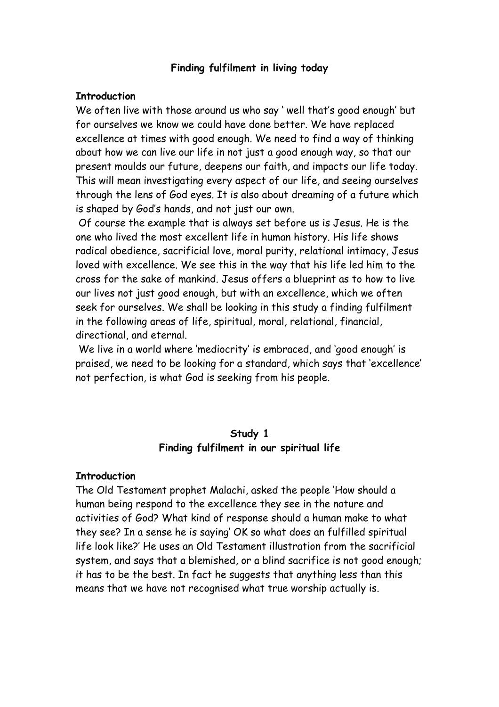### **Finding fulfilment in living today**

#### **Introduction**

We often live with those around us who say ' well that's good enough' but for ourselves we know we could have done better. We have replaced excellence at times with good enough. We need to find a way of thinking about how we can live our life in not just a good enough way, so that our present moulds our future, deepens our faith, and impacts our life today. This will mean investigating every aspect of our life, and seeing ourselves through the lens of God eyes. It is also about dreaming of a future which is shaped by God's hands, and not just our own.

 Of course the example that is always set before us is Jesus. He is the one who lived the most excellent life in human history. His life shows radical obedience, sacrificial love, moral purity, relational intimacy, Jesus loved with excellence. We see this in the way that his life led him to the cross for the sake of mankind. Jesus offers a blueprint as to how to live our lives not just good enough, but with an excellence, which we often seek for ourselves. We shall be looking in this study a finding fulfilment in the following areas of life, spiritual, moral, relational, financial, directional, and eternal.

 We live in a world where 'mediocrity' is embraced, and 'good enough' is praised, we need to be looking for a standard, which says that 'excellence' not perfection, is what God is seeking from his people.

#### **Study 1 Finding fulfilment in our spiritual life**

#### **Introduction**

The Old Testament prophet Malachi, asked the people 'How should a human being respond to the excellence they see in the nature and activities of God? What kind of response should a human make to what they see? In a sense he is saying' OK so what does an fulfilled spiritual life look like?' He uses an Old Testament illustration from the sacrificial system, and says that a blemished, or a blind sacrifice is not good enough; it has to be the best. In fact he suggests that anything less than this means that we have not recognised what true worship actually is.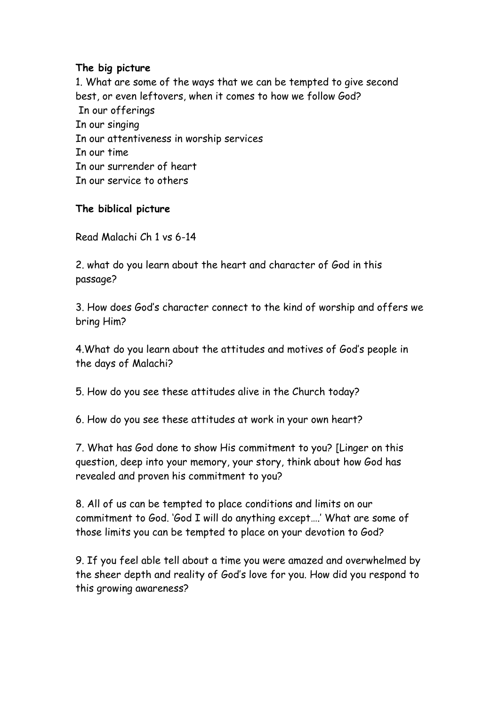### **The big picture**

1. What are some of the ways that we can be tempted to give second best, or even leftovers, when it comes to how we follow God? In our offerings In our singing In our attentiveness in worship services In our time In our surrender of heart In our service to others

### **The biblical picture**

Read Malachi Ch 1 vs 6-14

2. what do you learn about the heart and character of God in this passage?

3. How does God's character connect to the kind of worship and offers we bring Him?

4.What do you learn about the attitudes and motives of God's people in the days of Malachi?

5. How do you see these attitudes alive in the Church today?

6. How do you see these attitudes at work in your own heart?

7. What has God done to show His commitment to you? [Linger on this question, deep into your memory, your story, think about how God has revealed and proven his commitment to you?

8. All of us can be tempted to place conditions and limits on our commitment to God. 'God I will do anything except….' What are some of those limits you can be tempted to place on your devotion to God?

9. If you feel able tell about a time you were amazed and overwhelmed by the sheer depth and reality of God's love for you. How did you respond to this growing awareness?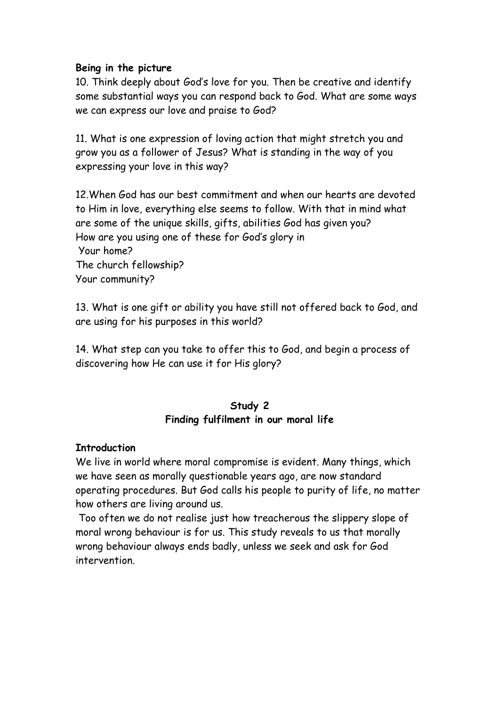### **Being in the picture**

10. Think deeply about God's love for you. Then be creative and identify some substantial ways you can respond back to God. What are some ways we can express our love and praise to God?

11. What is one expression of loving action that might stretch you and grow you as a follower of Jesus? What is standing in the way of you expressing your love in this way?

12.When God has our best commitment and when our hearts are devoted to Him in love, everything else seems to follow. With that in mind what are some of the unique skills, gifts, abilities God has given you? How are you using one of these for God's glory in Your home? The church fellowship? Your community?

13. What is one gift or ability you have still not offered back to God, and are using for his purposes in this world?

14. What step can you take to offer this to God, and begin a process of discovering how He can use it for His glory?

# **Study 2 Finding fulfilment in our moral life**

### **Introduction**

We live in world where moral compromise is evident. Many things, which we have seen as morally questionable years ago, are now standard operating procedures. But God calls his people to purity of life, no matter how others are living around us.

 Too often we do not realise just how treacherous the slippery slope of moral wrong behaviour is for us. This study reveals to us that morally wrong behaviour always ends badly, unless we seek and ask for God intervention.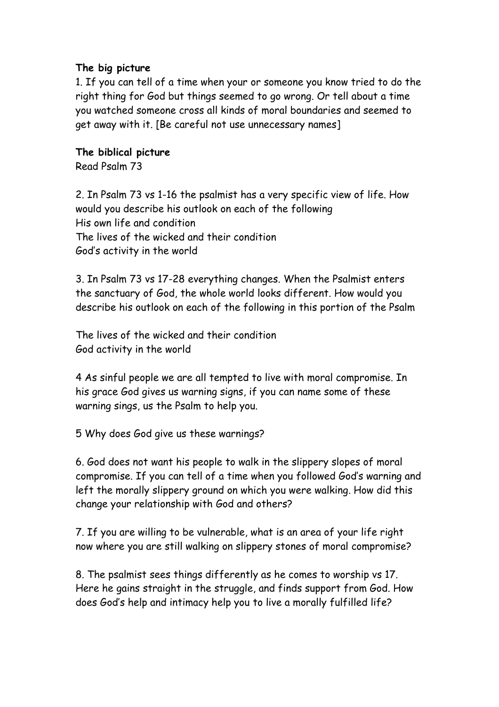### **The big picture**

1. If you can tell of a time when your or someone you know tried to do the right thing for God but things seemed to go wrong. Or tell about a time you watched someone cross all kinds of moral boundaries and seemed to get away with it. [Be careful not use unnecessary names]

# **The biblical picture**

Read Psalm 73

2. In Psalm 73 vs 1-16 the psalmist has a very specific view of life. How would you describe his outlook on each of the following His own life and condition The lives of the wicked and their condition God's activity in the world

3. In Psalm 73 vs 17-28 everything changes. When the Psalmist enters the sanctuary of God, the whole world looks different. How would you describe his outlook on each of the following in this portion of the Psalm

The lives of the wicked and their condition God activity in the world

4 As sinful people we are all tempted to live with moral compromise. In his grace God gives us warning signs, if you can name some of these warning sings, us the Psalm to help you.

5 Why does God give us these warnings?

6. God does not want his people to walk in the slippery slopes of moral compromise. If you can tell of a time when you followed God's warning and left the morally slippery ground on which you were walking. How did this change your relationship with God and others?

7. If you are willing to be vulnerable, what is an area of your life right now where you are still walking on slippery stones of moral compromise?

8. The psalmist sees things differently as he comes to worship vs 17. Here he gains straight in the struggle, and finds support from God. How does God's help and intimacy help you to live a morally fulfilled life?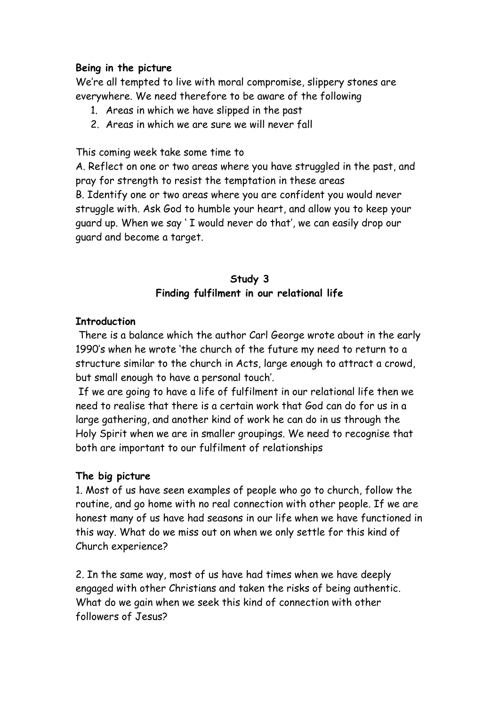### **Being in the picture**

We're all tempted to live with moral compromise, slippery stones are everywhere. We need therefore to be aware of the following

- 1. Areas in which we have slipped in the past
- 2. Areas in which we are sure we will never fall

This coming week take some time to

A. Reflect on one or two areas where you have struggled in the past, and pray for strength to resist the temptation in these areas B. Identify one or two areas where you are confident you would never struggle with. Ask God to humble your heart, and allow you to keep your guard up. When we say ' I would never do that', we can easily drop our guard and become a target.

# **Study 3 Finding fulfilment in our relational life**

### **Introduction**

 There is a balance which the author Carl George wrote about in the early 1990's when he wrote 'the church of the future my need to return to a structure similar to the church in Acts, large enough to attract a crowd, but small enough to have a personal touch'.

 If we are going to have a life of fulfilment in our relational life then we need to realise that there is a certain work that God can do for us in a large gathering, and another kind of work he can do in us through the Holy Spirit when we are in smaller groupings. We need to recognise that both are important to our fulfilment of relationships

# **The big picture**

1. Most of us have seen examples of people who go to church, follow the routine, and go home with no real connection with other people. If we are honest many of us have had seasons in our life when we have functioned in this way. What do we miss out on when we only settle for this kind of Church experience?

2. In the same way, most of us have had times when we have deeply engaged with other Christians and taken the risks of being authentic. What do we gain when we seek this kind of connection with other followers of Jesus?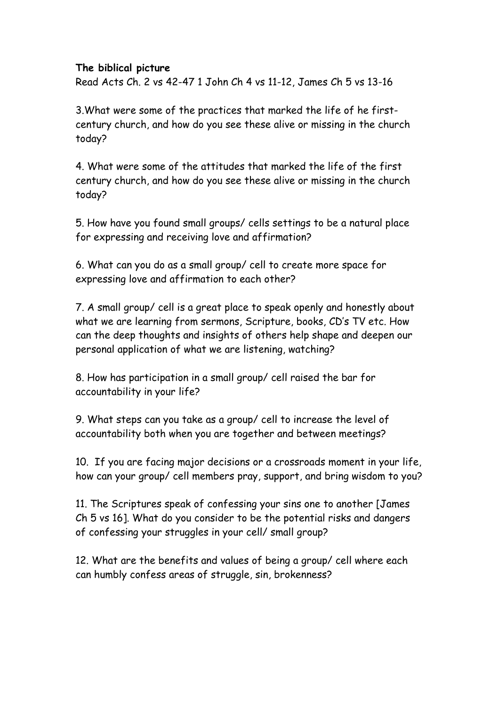### **The biblical picture**

Read Acts Ch. 2 vs 42-47 1 John Ch 4 vs 11-12, James Ch 5 vs 13-16

3.What were some of the practices that marked the life of he firstcentury church, and how do you see these alive or missing in the church today?

4. What were some of the attitudes that marked the life of the first century church, and how do you see these alive or missing in the church today?

5. How have you found small groups/ cells settings to be a natural place for expressing and receiving love and affirmation?

6. What can you do as a small group/ cell to create more space for expressing love and affirmation to each other?

7. A small group/ cell is a great place to speak openly and honestly about what we are learning from sermons, Scripture, books, CD's TV etc. How can the deep thoughts and insights of others help shape and deepen our personal application of what we are listening, watching?

8. How has participation in a small group/ cell raised the bar for accountability in your life?

9. What steps can you take as a group/ cell to increase the level of accountability both when you are together and between meetings?

10. If you are facing major decisions or a crossroads moment in your life, how can your group/ cell members pray, support, and bring wisdom to you?

11. The Scriptures speak of confessing your sins one to another [James Ch 5 vs 16]. What do you consider to be the potential risks and dangers of confessing your struggles in your cell/ small group?

12. What are the benefits and values of being a group/ cell where each can humbly confess areas of struggle, sin, brokenness?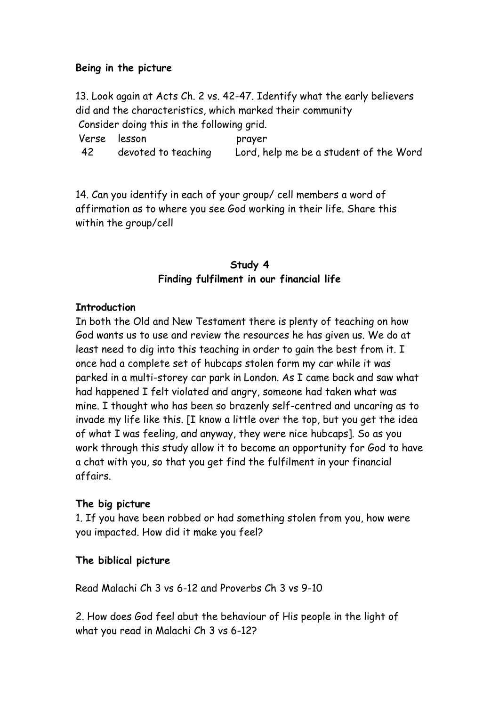### **Being in the picture**

13. Look again at Acts Ch. 2 vs. 42-47. Identify what the early believers did and the characteristics, which marked their community Consider doing this in the following grid.

 Verse lesson prayer 42 devoted to teaching Lord, help me be a student of the Word

14. Can you identify in each of your group/ cell members a word of affirmation as to where you see God working in their life. Share this within the group/cell

# **Study 4 Finding fulfilment in our financial life**

### **Introduction**

In both the Old and New Testament there is plenty of teaching on how God wants us to use and review the resources he has given us. We do at least need to dig into this teaching in order to gain the best from it. I once had a complete set of hubcaps stolen form my car while it was parked in a multi-storey car park in London. As I came back and saw what had happened I felt violated and angry, someone had taken what was mine. I thought who has been so brazenly self-centred and uncaring as to invade my life like this. [I know a little over the top, but you get the idea of what I was feeling, and anyway, they were nice hubcaps]. So as you work through this study allow it to become an opportunity for God to have a chat with you, so that you get find the fulfilment in your financial affairs.

# **The big picture**

1. If you have been robbed or had something stolen from you, how were you impacted. How did it make you feel?

### **The biblical picture**

Read Malachi Ch 3 vs 6-12 and Proverbs Ch 3 vs 9-10

2. How does God feel abut the behaviour of His people in the light of what you read in Malachi Ch 3 vs 6-12?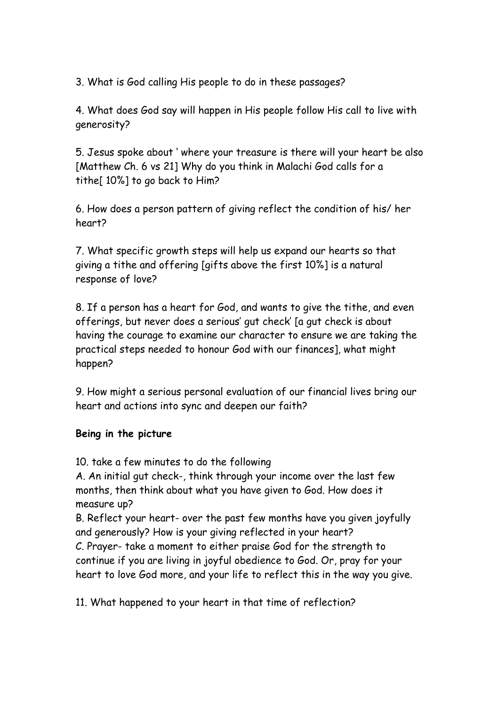3. What is God calling His people to do in these passages?

4. What does God say will happen in His people follow His call to live with generosity?

5. Jesus spoke about ' where your treasure is there will your heart be also [Matthew Ch. 6 vs 21] Why do you think in Malachi God calls for a tithe[  $10\%$ ] to go back to Him?

6. How does a person pattern of giving reflect the condition of his/ her heart?

7. What specific growth steps will help us expand our hearts so that giving a tithe and offering [gifts above the first 10%] is a natural response of love?

8. If a person has a heart for God, and wants to give the tithe, and even offerings, but never does a serious' gut check' [a gut check is about having the courage to examine our character to ensure we are taking the practical steps needed to honour God with our finances], what might happen?

9. How might a serious personal evaluation of our financial lives bring our heart and actions into sync and deepen our faith?

# **Being in the picture**

10. take a few minutes to do the following

A. An initial gut check-, think through your income over the last few months, then think about what you have given to God. How does it measure up?

B. Reflect your heart- over the past few months have you given joyfully and generously? How is your giving reflected in your heart? C. Prayer- take a moment to either praise God for the strength to continue if you are living in joyful obedience to God. Or, pray for your heart to love God more, and your life to reflect this in the way you give.

11. What happened to your heart in that time of reflection?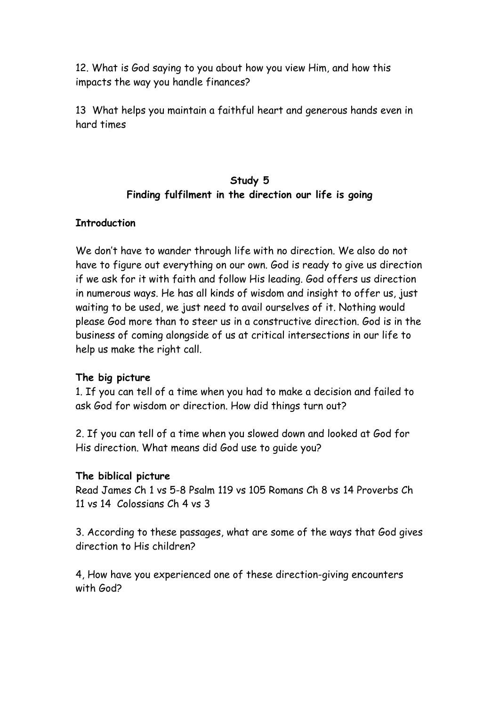12. What is God saying to you about how you view Him, and how this impacts the way you handle finances?

13 What helps you maintain a faithful heart and generous hands even in hard times

# **Study 5 Finding fulfilment in the direction our life is going**

### **Introduction**

We don't have to wander through life with no direction. We also do not have to figure out everything on our own. God is ready to give us direction if we ask for it with faith and follow His leading. God offers us direction in numerous ways. He has all kinds of wisdom and insight to offer us, just waiting to be used, we just need to avail ourselves of it. Nothing would please God more than to steer us in a constructive direction. God is in the business of coming alongside of us at critical intersections in our life to help us make the right call.

# **The big picture**

1. If you can tell of a time when you had to make a decision and failed to ask God for wisdom or direction. How did things turn out?

2. If you can tell of a time when you slowed down and looked at God for His direction. What means did God use to guide you?

### **The biblical picture**

Read James Ch 1 vs 5-8 Psalm 119 vs 105 Romans Ch 8 vs 14 Proverbs Ch 11 vs 14 Colossians Ch 4 vs 3

3. According to these passages, what are some of the ways that God gives direction to His children?

4, How have you experienced one of these direction-giving encounters with God?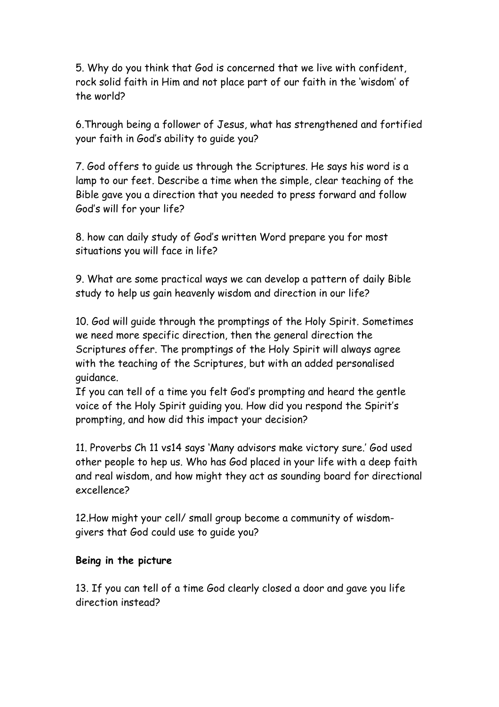5. Why do you think that God is concerned that we live with confident, rock solid faith in Him and not place part of our faith in the 'wisdom' of the world?

6.Through being a follower of Jesus, what has strengthened and fortified your faith in God's ability to guide you?

7. God offers to guide us through the Scriptures. He says his word is a lamp to our feet. Describe a time when the simple, clear teaching of the Bible gave you a direction that you needed to press forward and follow God's will for your life?

8. how can daily study of God's written Word prepare you for most situations you will face in life?

9. What are some practical ways we can develop a pattern of daily Bible study to help us gain heavenly wisdom and direction in our life?

10. God will guide through the promptings of the Holy Spirit. Sometimes we need more specific direction, then the general direction the Scriptures offer. The promptings of the Holy Spirit will always agree with the teaching of the Scriptures, but with an added personalised guidance.

If you can tell of a time you felt God's prompting and heard the gentle voice of the Holy Spirit guiding you. How did you respond the Spirit's prompting, and how did this impact your decision?

11. Proverbs Ch 11 vs14 says 'Many advisors make victory sure.' God used other people to hep us. Who has God placed in your life with a deep faith and real wisdom, and how might they act as sounding board for directional excellence?

12.How might your cell/ small group become a community of wisdomgivers that God could use to guide you?

# **Being in the picture**

13. If you can tell of a time God clearly closed a door and gave you life direction instead?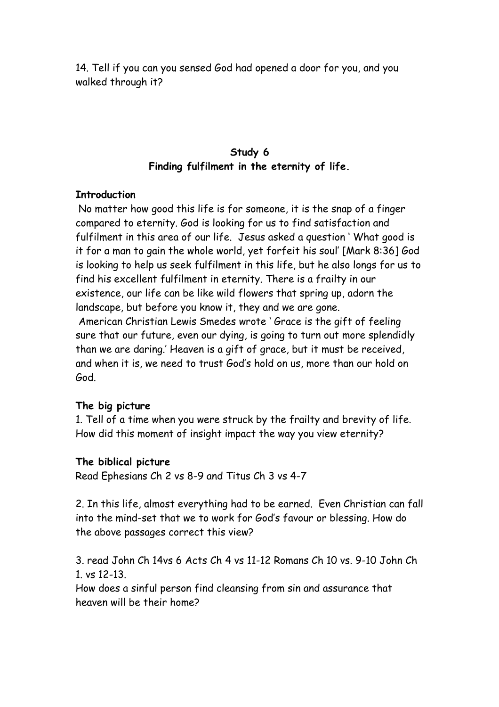14. Tell if you can you sensed God had opened a door for you, and you walked through it?

# **Study 6 Finding fulfilment in the eternity of life.**

#### **Introduction**

 No matter how good this life is for someone, it is the snap of a finger compared to eternity. God is looking for us to find satisfaction and fulfilment in this area of our life. Jesus asked a question ' What good is it for a man to gain the whole world, yet forfeit his soul' [Mark 8:36] God is looking to help us seek fulfilment in this life, but he also longs for us to find his excellent fulfilment in eternity. There is a frailty in our existence, our life can be like wild flowers that spring up, adorn the landscape, but before you know it, they and we are gone. American Christian Lewis Smedes wrote ' Grace is the gift of feeling sure that our future, even our dying, is going to turn out more splendidly

than we are daring.' Heaven is a gift of grace, but it must be received, and when it is, we need to trust God's hold on us, more than our hold on God.

### **The big picture**

1. Tell of a time when you were struck by the frailty and brevity of life. How did this moment of insight impact the way you view eternity?

### **The biblical picture**

Read Ephesians Ch 2 vs 8-9 and Titus Ch 3 vs 4-7

2. In this life, almost everything had to be earned. Even Christian can fall into the mind-set that we to work for God's favour or blessing. How do the above passages correct this view?

3. read John Ch 14vs 6 Acts Ch 4 vs 11-12 Romans Ch 10 vs. 9-10 John Ch 1. vs 12-13.

How does a sinful person find cleansing from sin and assurance that heaven will be their home?